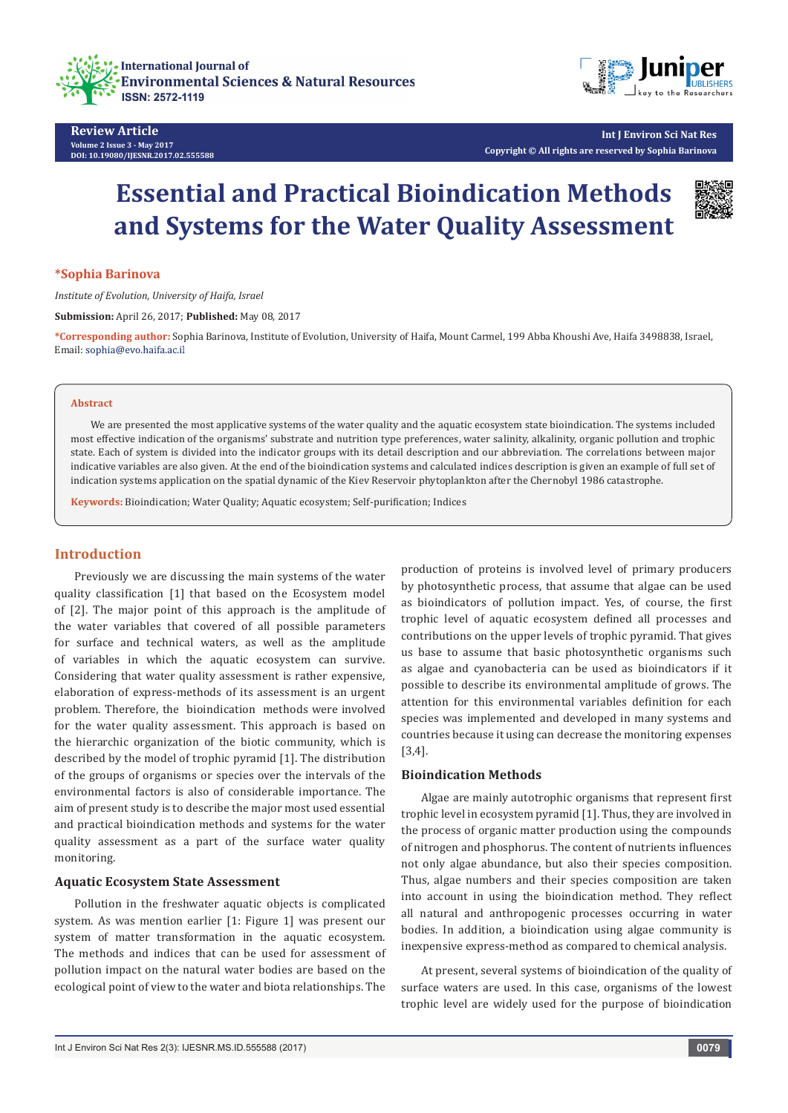





**Int J Environ Sci Nat Res Copyright © All rights are reserved by Sophia Barinova**

# **Essential and Practical Bioindication Methods and Systems for the Water Quality Assessment**



#### **\*Sophia Barinova**

*Institute of Evolution, University of Haifa, Israel*

**Submission:** April 26, 2017; **Published:** May 08, 2017

**\*Corresponding author:** Sophia Barinova, Institute of Evolution, University of Haifa, Mount Carmel, 199 Abba Khoushi Ave, Haifa 3498838, Israel, Email: sophia@evo.haifa.ac.il

#### **Abstract**

We are presented the most applicative systems of the water quality and the aquatic ecosystem state bioindication. The systems included most effective indication of the organisms' substrate and nutrition type preferences, water salinity, alkalinity, organic pollution and trophic state. Each of system is divided into the indicator groups with its detail description and our abbreviation. The correlations between major indicative variables are also given. At the end of the bioindication systems and calculated indices description is given an example of full set of indication systems application on the spatial dynamic of the Kiev Reservoir phytoplankton after the Chernobyl 1986 catastrophe.

**Keywords:** Bioindication; Water Quality; Aquatic ecosystem; Self-purification; Indices

## **Introduction**

Previously we are discussing the main systems of the water quality classification [1] that based on the Ecosystem model of [2]. The major point of this approach is the amplitude of the water variables that covered of all possible parameters for surface and technical waters, as well as the amplitude of variables in which the aquatic ecosystem can survive. Considering that water quality assessment is rather expensive, elaboration of express-methods of its assessment is an urgent problem. Therefore, the bioindication methods were involved for the water quality assessment. This approach is based on the hierarchic organization of the biotic community, which is described by the model of trophic pyramid [1]. The distribution of the groups of organisms or species over the intervals of the environmental factors is also of considerable importance. The aim of present study is to describe the major most used essential and practical bioindication methods and systems for the water quality assessment as a part of the surface water quality monitoring.

## **Aquatic Ecosystem State Assessment**

Pollution in the freshwater aquatic objects is complicated system. As was mention earlier [1: Figure 1] was present our system of matter transformation in the aquatic ecosystem. The methods and indices that can be used for assessment of pollution impact on the natural water bodies are based on the ecological point of view to the water and biota relationships. The

production of proteins is involved level of primary producers by photosynthetic process, that assume that algae can be used as bioindicators of pollution impact. Yes, of course, the first trophic level of aquatic ecosystem defined all processes and contributions on the upper levels of trophic pyramid. That gives us base to assume that basic photosynthetic organisms such as algae and cyanobacteria can be used as bioindicators if it possible to describe its environmental amplitude of grows. The attention for this environmental variables definition for each species was implemented and developed in many systems and countries because it using can decrease the monitoring expenses [3,4].

## **Bioindication Methods**

Algae are mainly autotrophic organisms that represent first trophic level in ecosystem pyramid [1]. Thus, they are involved in the process of organic matter production using the compounds of nitrogen and phosphorus. The content of nutrients influences not only algae abundance, but also their species composition. Thus, algae numbers and their species composition are taken into account in using the bioindication method. They reflect all natural and anthropogenic processes occurring in water bodies. In addition, a bioindication using algae community is inexpensive express-method as compared to chemical analysis.

At present, several systems of bioindication of the quality of surface waters are used. In this case, organisms of the lowest trophic level are widely used for the purpose of bioindication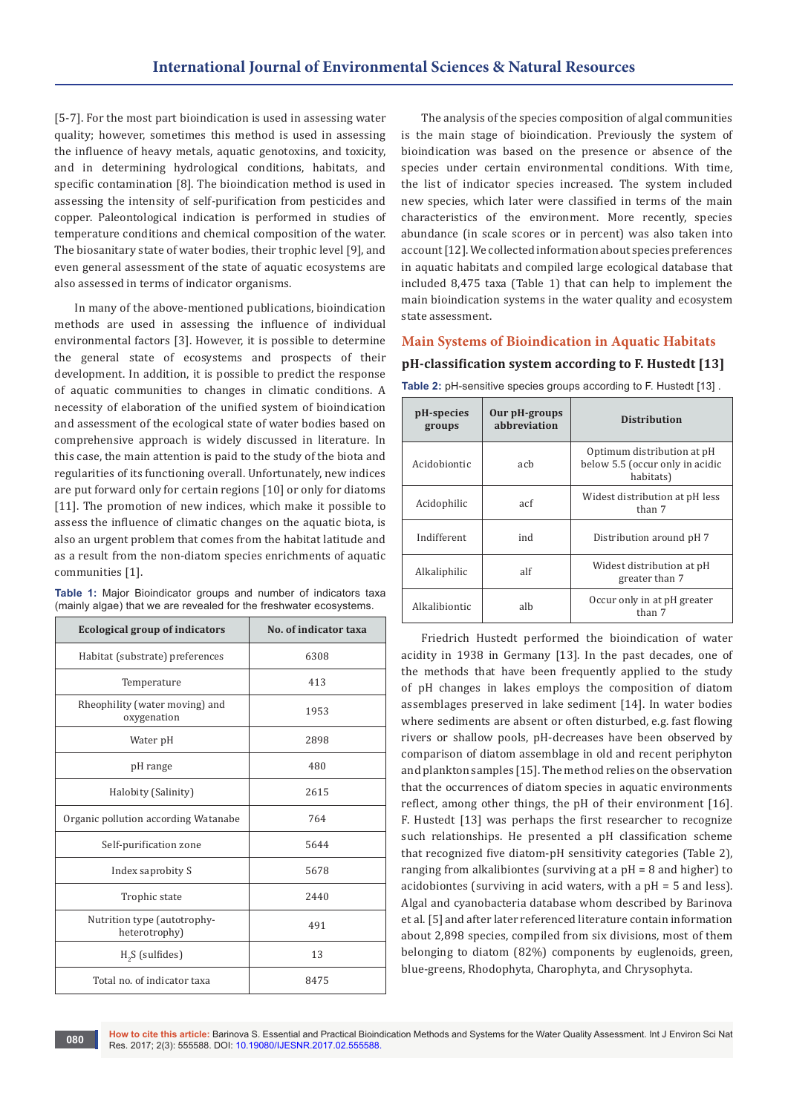[5-7]. For the most part bioindication is used in assessing water quality; however, sometimes this method is used in assessing the influence of heavy metals, aquatic genotoxins, and toxicity, and in determining hydrological conditions, habitats, and specific contamination [8]. The bioindication method is used in assessing the intensity of self-purification from pesticides and copper. Paleontological indication is performed in studies of temperature conditions and chemical composition of the water. The biosanitary state of water bodies, their trophic level [9], and even general assessment of the state of aquatic ecosystems are also assessed in terms of indicator organisms.

In many of the above-mentioned publications, bioindication methods are used in assessing the influence of individual environmental factors [3]. However, it is possible to determine the general state of ecosystems and prospects of their development. In addition, it is possible to predict the response of aquatic communities to changes in climatic conditions. A necessity of elaboration of the unified system of bioindication and assessment of the ecological state of water bodies based on comprehensive approach is widely discussed in literature. In this case, the main attention is paid to the study of the biota and regularities of its functioning overall. Unfortunately, new indices are put forward only for certain regions [10] or only for diatoms [11]. The promotion of new indices, which make it possible to assess the influence of climatic changes on the aquatic biota, is also an urgent problem that comes from the habitat latitude and as a result from the non-diatom species enrichments of aquatic communities [1].

**Table 1:** Major Bioindicator groups and number of indicators taxa (mainly algae) that we are revealed for the freshwater ecosystems.

| <b>Ecological group of indicators</b>         | No. of indicator taxa |
|-----------------------------------------------|-----------------------|
| Habitat (substrate) preferences               | 6308                  |
| Temperature                                   | 413                   |
| Rheophility (water moving) and<br>oxygenation | 1953                  |
| Water pH                                      | 2898                  |
| pH range                                      | 480                   |
| Halobity (Salinity)                           | 2615                  |
| Organic pollution according Watanabe          | 764                   |
| Self-purification zone                        | 5644                  |
| Index saprobity S                             | 5678                  |
| Trophic state                                 | 2440                  |
| Nutrition type (autotrophy-<br>heterotrophy)  | 491                   |
| $H2S$ (sulfides)                              | 13                    |
| Total no, of indicator taxa                   | 8475                  |

The analysis of the species composition of algal communities is the main stage of bioindication. Previously the system of bioindication was based on the presence or absence of the species under certain environmental conditions. With time, the list of indicator species increased. The system included new species, which later were classified in terms of the main characteristics of the environment. More recently, species abundance (in scale scores or in percent) was also taken into account [12]. We collected information about species preferences in aquatic habitats and compiled large ecological database that included 8,475 taxa (Table 1) that can help to implement the main bioindication systems in the water quality and ecosystem state assessment.

## **Main Systems of Bioindication in Aquatic Habitats**

## **pH-classification system according to F. Hustedt [13]**

| pH-species<br>groups | Our pH-groups<br>abbreviation | <b>Distribution</b>                                                        |  |
|----------------------|-------------------------------|----------------------------------------------------------------------------|--|
| Acidobiontic         | ach                           | Optimum distribution at pH<br>below 5.5 (occur only in acidic<br>habitats) |  |
| Acidophilic          | acf                           | Widest distribution at pH less<br>than 7                                   |  |
| Indifferent          | ind                           | Distribution around pH 7                                                   |  |
| Alkaliphilic         | alf                           | Widest distribution at pH<br>greater than 7                                |  |
| Alkalibiontic        | alh                           | Occur only in at pH greater<br>than 7                                      |  |

**Table 2:** pH-sensitive species groups according to F. Hustedt [13] .

Friedrich Hustedt performed the bioindication of water acidity in 1938 in Germany [13]. In the past decades, one of the methods that have been frequently applied to the study of pH changes in lakes employs the composition of diatom assemblages preserved in lake sediment [14]. In water bodies where sediments are absent or often disturbed, e.g. fast flowing rivers or shallow pools, pH-decreases have been observed by comparison of diatom assemblage in old and recent periphyton and plankton samples [15]. The method relies on the observation that the occurrences of diatom species in aquatic environments reflect, among other things, the pH of their environment [16]. F. Hustedt [13] was perhaps the first researcher to recognize such relationships. He presented a pH classification scheme that recognized five diatom-pH sensitivity categories (Table 2), ranging from alkalibiontes (surviving at a pH = 8 and higher) to acidobiontes (surviving in acid waters, with a pH = 5 and less). Algal and cyanobacteria database whom described by Barinova et al. [5] and after later referenced literature contain information about 2,898 species, compiled from six divisions, most of them belonging to diatom (82%) components by euglenoids, green, blue-greens, Rhodophyta, Charophyta, and Chrysophyta.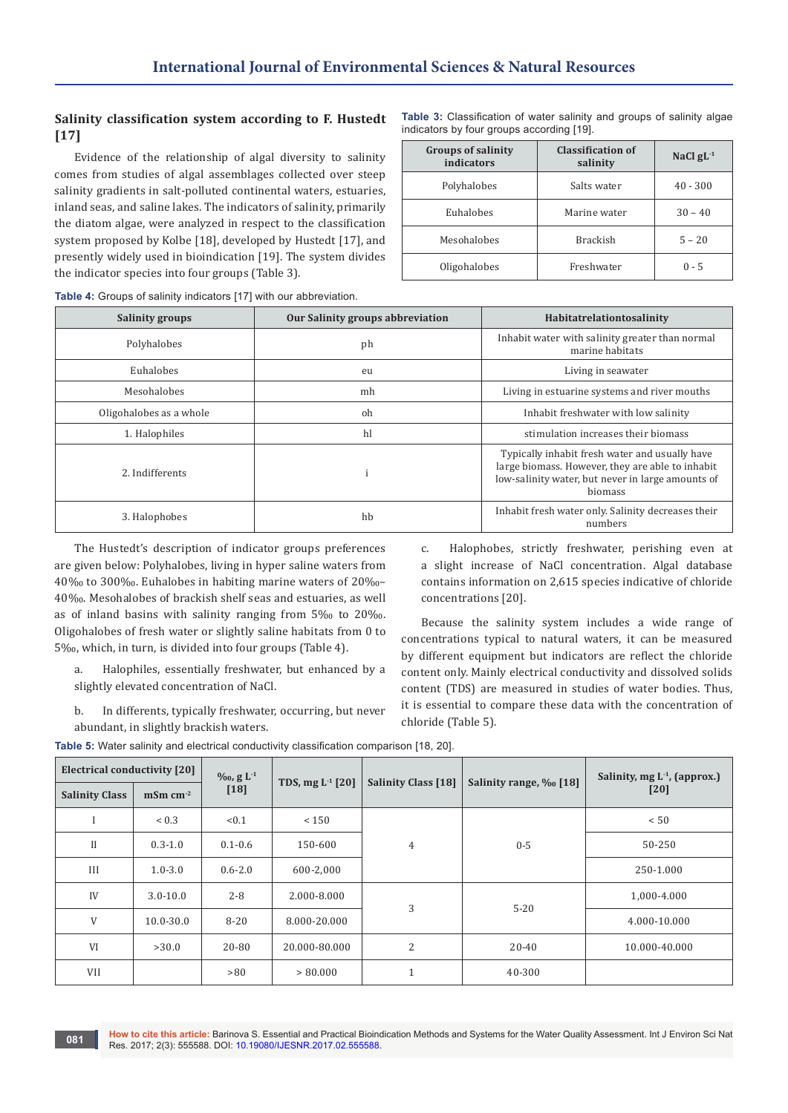# **Salinity classification system according to F. Hustedt [17]**

Evidence of the relationship of algal diversity to salinity comes from studies of algal assemblages collected over steep salinity gradients in salt-polluted continental waters, estuaries, inland seas, and saline lakes. The indicators of salinity, primarily the diatom algae, were analyzed in respect to the classification system proposed by Kolbe [18], developed by Hustedt [17], and presently widely used in bioindication [19]. The system divides the indicator species into four groups (Table 3).

**Table 3:** Classification of water salinity and groups of salinity algae indicators by four groups according [19].

| <b>Groups of salinity</b><br>indicators | <b>Classification of</b><br>salinity | NaCl $gL^{-1}$ |
|-----------------------------------------|--------------------------------------|----------------|
| Polyhalobes                             | Salts water                          | $40 - 300$     |
| Euhalobes                               | Marine water                         | $30 - 40$      |
| Mesohalobes                             | <b>Brackish</b>                      | $5 - 20$       |
| Oligohalobes                            | Freshwater                           | $0 - 5$        |

**Table 4:** Groups of salinity indicators [17] with our abbreviation.

| <b>Salinity groups</b>  | Our Salinity groups abbreviation | Habitatrelationtosalinity                                                                                                                                          |
|-------------------------|----------------------------------|--------------------------------------------------------------------------------------------------------------------------------------------------------------------|
| Polyhalobes             | ph                               | Inhabit water with salinity greater than normal<br>marine habitats                                                                                                 |
| Euhalobes               | eu                               | Living in seawater                                                                                                                                                 |
| Mesohalobes             | mh                               | Living in estuarine systems and river mouths                                                                                                                       |
| Oligohalobes as a whole | oh                               | Inhabit freshwater with low salinity                                                                                                                               |
| 1. Halophiles           | hl                               | stimulation increases their biomass                                                                                                                                |
| 2. Indifferents         |                                  | Typically inhabit fresh water and usually have<br>large biomass. However, they are able to inhabit<br>low-salinity water, but never in large amounts of<br>biomass |
| 3. Halophobes           | hb                               | Inhabit fresh water only. Salinity decreases their<br>numbers                                                                                                      |

The Hustedt's description of indicator groups preferences are given below: Polyhalobes, living in hyper saline waters from 40‰ to 300‰. Euhalobes in habiting marine waters of 20‰– 40‰. Mesohalobes of brackish shelf seas and estuaries, as well as of inland basins with salinity ranging from 5‰ to 20‰. Oligohalobes of fresh water or slightly saline habitats from 0 to 5‰, which, in turn, is divided into four groups (Table 4).

a. Halophiles, essentially freshwater, but enhanced by a slightly elevated concentration of NaCl.

b. In differents, typically freshwater, occurring, but never abundant, in slightly brackish waters.

c. Halophobes, strictly freshwater, perishing even at a slight increase of NaCl concentration. Algal database contains information on 2,615 species indicative of chloride concentrations [20].

Because the salinity system includes a wide range of concentrations typical to natural waters, it can be measured by different equipment but indicators are reflect the chloride content only. Mainly electrical conductivity and dissolved solids content (TDS) are measured in studies of water bodies. Thus, it is essential to compare these data with the concentration of chloride (Table 5).

| <b>Electrical conductivity [20]</b> |                         | $\%$ <sub>0</sub> , g L <sup>-1</sup> |                    |                                                      |          | Salinity, mg L <sup>-1</sup> , (approx.) |
|-------------------------------------|-------------------------|---------------------------------------|--------------------|------------------------------------------------------|----------|------------------------------------------|
| <b>Salinity Class</b>               | $~\mathrm{mSm~cm}^{-2}$ | $[18]$                                | TDS, mg $L^1$ [20] | <b>Salinity Class [18]</b><br>Salinity range, ‰ [18] |          | [20]                                     |
|                                     | ${}< 0.3$               | < 0.1                                 | < 150              |                                                      |          | < 50                                     |
| $_{II}$                             | $0.3 - 1.0$             | $0.1 - 0.6$                           | 150-600            | $\overline{4}$                                       | $0 - 5$  | 50-250                                   |
| III                                 | $1.0 - 3.0$             | $0.6 - 2.0$                           | 600-2,000          |                                                      |          | 250-1.000                                |
| IV                                  | $3.0 - 10.0$            | $2 - 8$                               | 2.000-8.000        |                                                      | $5 - 20$ | 1,000-4.000                              |
| V                                   | $10.0 - 30.0$           | $8 - 20$                              | 8.000-20.000       | 3                                                    |          | 4.000-10.000                             |
| VI                                  | >30.0                   | 20-80                                 | 20.000-80.000      | $\overline{c}$                                       | 20-40    | 10.000-40.000                            |
| VII                                 |                         | >80                                   | > 80.000           | $\mathbf{1}$                                         | 40-300   |                                          |

**Table 5:** Water salinity and electrical conductivity classification comparison [18, 20].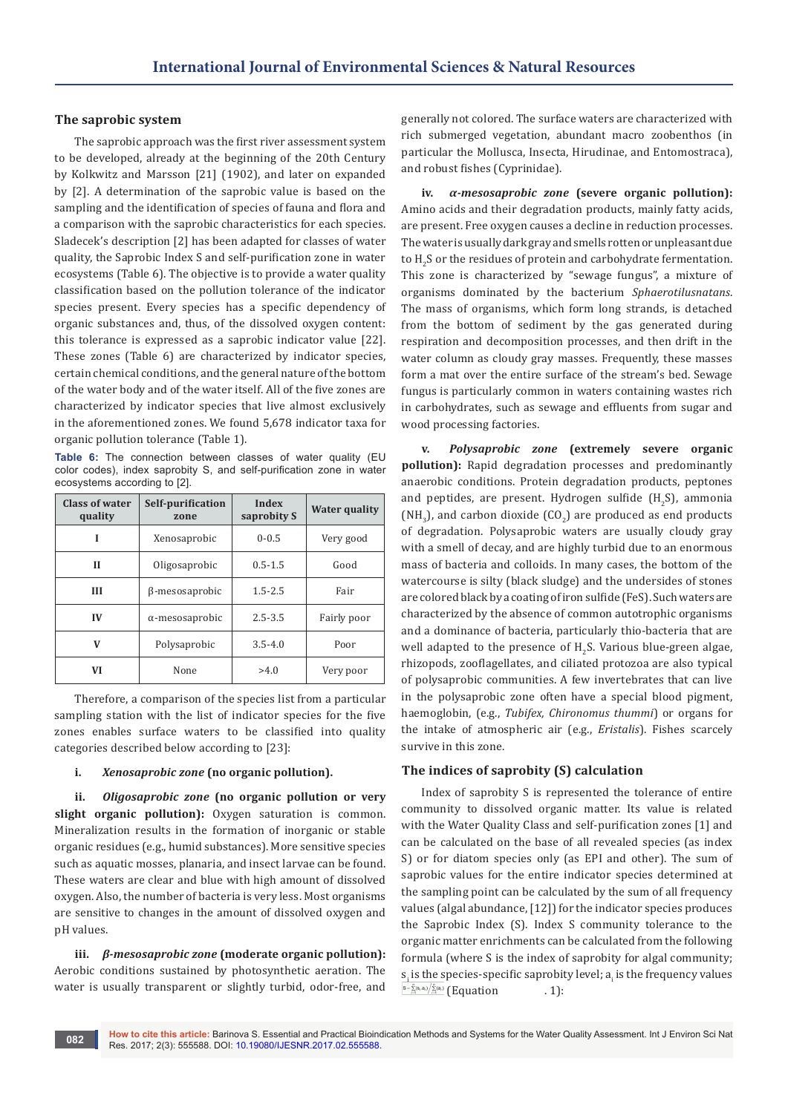## **The saprobic system**

The saprobic approach was the first river assessment system to be developed, already at the beginning of the 20th Century by Kolkwitz and Marsson [21] (1902), and later on expanded by [2]. A determination of the saprobic value is based on the sampling and the identification of species of fauna and flora and a comparison with the saprobic characteristics for each species. Sladecek's description [2] has been adapted for classes of water quality, the Saprobic Index S and self-purification zone in water ecosystems (Table 6). The objective is to provide a water quality classification based on the pollution tolerance of the indicator species present. Every species has a specific dependency of organic substances and, thus, of the dissolved oxygen content: this tolerance is expressed as a saprobic indicator value [22]. These zones (Table 6) are characterized by indicator species, certain chemical conditions, and the general nature of the bottom of the water body and of the water itself. All of the five zones are characterized by indicator species that live almost exclusively in the aforementioned zones. We found 5,678 indicator taxa for organic pollution tolerance (Table 1).

**Table 6:** The connection between classes of water quality (EU color codes), index saprobity S, and self-purification zone in water ecosystems according to [2].

| Class of water<br>quality | Self-purification<br>zone | Index<br>saprobity S | Water quality |
|---------------------------|---------------------------|----------------------|---------------|
| Ī                         | Xenosaprobic              | $0 - 0.5$            | Very good     |
| Н                         | Oligosaprobic             | $0.5 - 1.5$          | Good          |
| III                       | β-mesosaprobic            | $1.5 - 2.5$          | Fair          |
| IV                        | $\alpha$ -mesosaprobic    | $2.5 - 3.5$          | Fairly poor   |
| v                         | Polysaprobic              | $3.5 - 4.0$          | Poor          |
| VI                        | None                      | >4.0                 | Very poor     |

Therefore, a comparison of the species list from a particular sampling station with the list of indicator species for the five zones enables surface waters to be classified into quality categories described below according to [23]:

## **i.** *Xenosaprobic zone* **(no organic pollution).**

**ii.** *Oligosaprobic zone* **(no organic pollution or very slight organic pollution):** Oxygen saturation is common. Mineralization results in the formation of inorganic or stable organic residues (e.g., humid substances). More sensitive species such as aquatic mosses, planaria, and insect larvae can be found. These waters are clear and blue with high amount of dissolved oxygen. Also, the number of bacteria is very less. Most organisms are sensitive to changes in the amount of dissolved oxygen and pH values.

**iii.** *β-mesosaprobic zone* **(moderate organic pollution):** Aerobic conditions sustained by photosynthetic aeration. The water is usually transparent or slightly turbid, odor-free, and generally not colored. The surface waters are characterized with rich submerged vegetation, abundant macro zoobenthos (in particular the Mollusca, Insecta, Hirudinae, and Entomostraca), and robust fishes (Cyprinidae).

**iv.** *α-mesosaprobic zone* **(severe organic pollution):** Amino acids and their degradation products, mainly fatty acids, are present. Free oxygen causes a decline in reduction processes. The water is usually dark gray and smells rotten or unpleasant due to  $\rm{H}_{2}$ S or the residues of protein and carbohydrate fermentation. This zone is characterized by "sewage fungus", a mixture of organisms dominated by the bacterium *Sphaerotilusnatans*. The mass of organisms, which form long strands, is detached from the bottom of sediment by the gas generated during respiration and decomposition processes, and then drift in the water column as cloudy gray masses. Frequently, these masses form a mat over the entire surface of the stream's bed. Sewage fungus is particularly common in waters containing wastes rich in carbohydrates, such as sewage and effluents from sugar and wood processing factories.

**v.** *Polysaprobic zone* **(extremely severe organic pollution):** Rapid degradation processes and predominantly anaerobic conditions. Protein degradation products, peptones and peptides, are present. Hydrogen sulfide  $\rm(H_{2}S)$ , ammonia (NH<sub>3</sub>), and carbon dioxide (CO<sub>2</sub>) are produced as end products of degradation. Polysaprobic waters are usually cloudy gray with a smell of decay, and are highly turbid due to an enormous mass of bacteria and colloids. In many cases, the bottom of the watercourse is silty (black sludge) and the undersides of stones are colored black by a coating of iron sulfide (FeS). Such waters are characterized by the absence of common autotrophic organisms and a dominance of bacteria, particularly thio-bacteria that are well adapted to the presence of  $H_2S$ . Various blue-green algae, rhizopods, zooflagellates, and ciliated protozoa are also typical of polysaprobic communities. A few invertebrates that can live in the polysaprobic zone often have a special blood pigment, haemoglobin, (e.g., *Tubifex, Chironomus thummi*) or organs for the intake of atmospheric air (e.g., *Eristalis*). Fishes scarcely survive in this zone.

## **The indices of saprobity (S) calculation**

Index of saprobity S is represented the tolerance of entire community to dissolved organic matter. Its value is related with the Water Quality Class and self-purification zones [1] and can be calculated on the base of all revealed species (as index S) or for diatom species only (as EPI and other). The sum of saprobic values for the entire indicator species determined at the sampling point can be calculated by the sum of all frequency values (algal abundance, [12]) for the indicator species produces the Saprobic Index (S). Index S community tolerance to the organic matter enrichments can be calculated from the following formula (where S is the index of saprobity for algal community;  $s_{\rm i}$  is the species-specific saprobity level;  $a_{\rm i}$  is the frequency values  $\frac{\int_{S=\sum\limits_{i=1}^{n}(s_{i},a_{i})}\left(\sum\limits_{i=1}^{n}(a_{i})\right)}{Equation}$  . 1):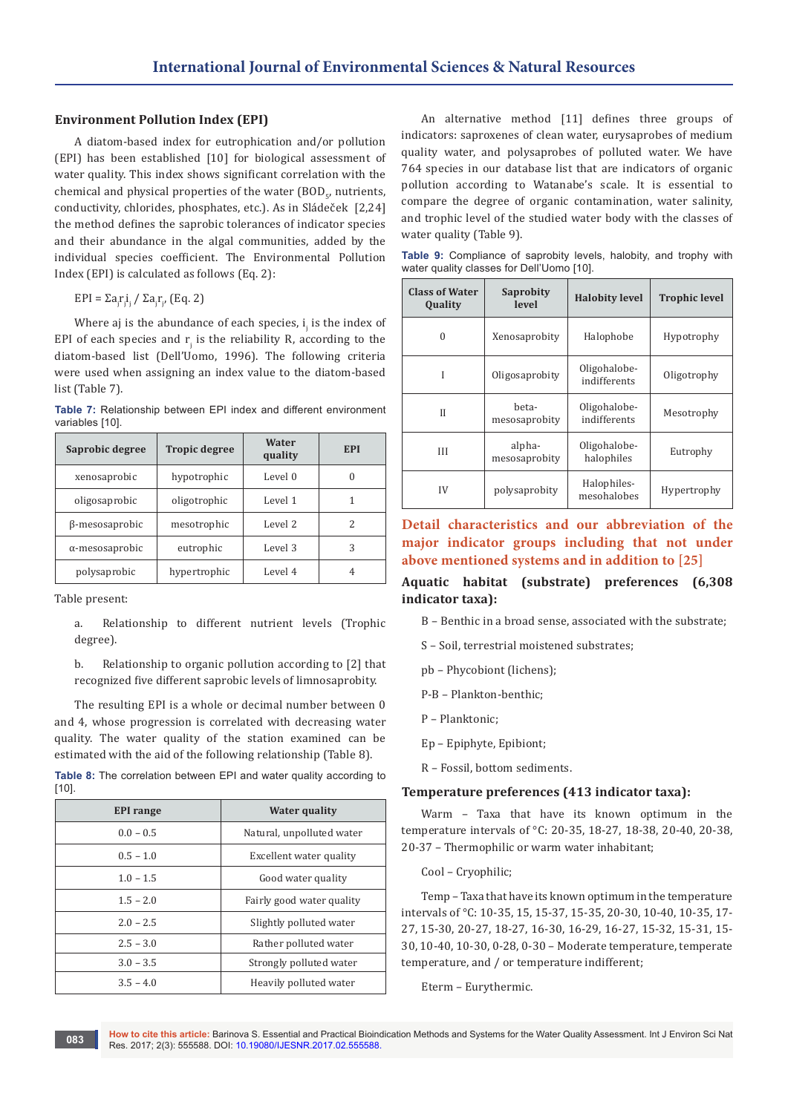## **Environment Pollution Index (EPI)**

A diatom-based index for eutrophication and/or pollution (EPI) has been established [10] for biological assessment of water quality. This index shows significant correlation with the chemical and physical properties of the water (BOD<sub>5</sub>, nutrients, conductivity, chlorides, phosphates, etc.). As in Sládeček [2,24] the method defines the saprobic tolerances of indicator species and their abundance in the algal communities, added by the individual species coefficient. The Environmental Pollution Index (EPI) is calculated as follows (Eq. 2):

EPI = Σa<sub>j</sub>r<sub>j</sub>i / Σa<sub>j</sub>r<sub>j</sub>, (Eq. 2)

Where aj is the abundance of each species,  $i_j$  is the index of EPI of each species and  $r_j$  is the reliability R, according to the diatom-based list (Dell'Uomo, 1996). The following criteria were used when assigning an index value to the diatom-based list (Table 7).

**Table 7:** Relationship between EPI index and different environment variables [10].

| Saprobic degree        | <b>Tropic degree</b> | Water<br>quality | <b>EPI</b> |
|------------------------|----------------------|------------------|------------|
| xenosaprobic           | hypotrophic          | Level 0          | $\Omega$   |
| oligosaprobic          | oligotrophic         | Level 1          | 1          |
| β-mesosaprobic         | mesotrophic          | Level 2          | 2          |
| $\alpha$ -mesosaprobic | eutrophic            | Level 3          | 3          |
| polysaprobic           | hypertrophic         | Level 4          | 4          |

Table present:

a. Relationship to different nutrient levels (Trophic degree).

b. Relationship to organic pollution according to [2] that recognized five different saprobic levels of limnosaprobity.

The resulting EPI is a whole or decimal number between 0 and 4, whose progression is correlated with decreasing water quality. The water quality of the station examined can be estimated with the aid of the following relationship (Table 8).

**Table 8:** The correlation between EPI and water quality according to [10].

| <b>EPI</b> range | <b>Water quality</b>      |  |
|------------------|---------------------------|--|
| $0.0 - 0.5$      | Natural, unpolluted water |  |
| $0.5 - 1.0$      | Excellent water quality   |  |
| $1.0 - 1.5$      | Good water quality        |  |
| $1.5 - 2.0$      | Fairly good water quality |  |
| $2.0 - 2.5$      | Slightly polluted water   |  |
| $2.5 - 3.0$      | Rather polluted water     |  |
| $3.0 - 3.5$      | Strongly polluted water   |  |
| $3.5 - 4.0$      | Heavily polluted water    |  |

An alternative method [11] defines three groups of indicators: saproxenes of clean water, eurysaprobes of medium quality water, and polysaprobes of polluted water. We have 764 species in our database list that are indicators of organic pollution according to Watanabe's scale. It is essential to compare the degree of organic contamination, water salinity, and trophic level of the studied water body with the classes of water quality (Table 9).

**Table 9:** Compliance of saprobity levels, halobity, and trophy with water quality classes for Dell'Uomo [10].

| <b>Class of Water</b><br><b>Quality</b> | Saprobity<br>level      | <b>Halobity level</b>        | <b>Trophic level</b> |
|-----------------------------------------|-------------------------|------------------------------|----------------------|
| $\Omega$                                | Xenosaprobity           | Halophobe                    | Hypotrophy           |
| Ī                                       | Oligosaprobity          | Oligohalobe-<br>indifferents | Oligotrophy          |
| Н                                       | beta-<br>mesosaprobity  | Oligohalobe-<br>indifferents | Mesotrophy           |
| Ш                                       | alpha-<br>mesosaprobity | Oligohalobe-<br>halophiles   | Eutrophy             |
| IV                                      | polysaprobity           | Halophiles-<br>mesohalobes   | Hypertrophy          |

# **Detail characteristics and our abbreviation of the major indicator groups including that not under above mentioned systems and in addition to [25]**

## **Aquatic habitat (substrate) preferences (6,308 indicator taxa):**

- B Benthic in a broad sense, associated with the substrate;
- S Soil, terrestrial moistened substrates;
- pb Phycobiont (lichens);
- P-B Plankton-benthic;
- P Planktonic;
- Ep Epiphyte, Epibiont;
- R Fossil, bottom sediments.

#### **Temperature preferences (413 indicator taxa):**

Warm – Taxa that have its known optimum in the temperature intervals of °C: 20-35, 18-27, 18-38, 20-40, 20-38, 20-37 – Thermophilic or warm water inhabitant;

Cool – Cryophilic;

Temp – Taxa that have its known optimum in the temperature intervals of °C: 10-35, 15, 15-37, 15-35, 20-30, 10-40, 10-35, 17- 27, 15-30, 20-27, 18-27, 16-30, 16-29, 16-27, 15-32, 15-31, 15- 30, 10-40, 10-30, 0-28, 0-30 – Moderate temperature, temperate temperature, and / or temperature indifferent;

Eterm – Eurythermic.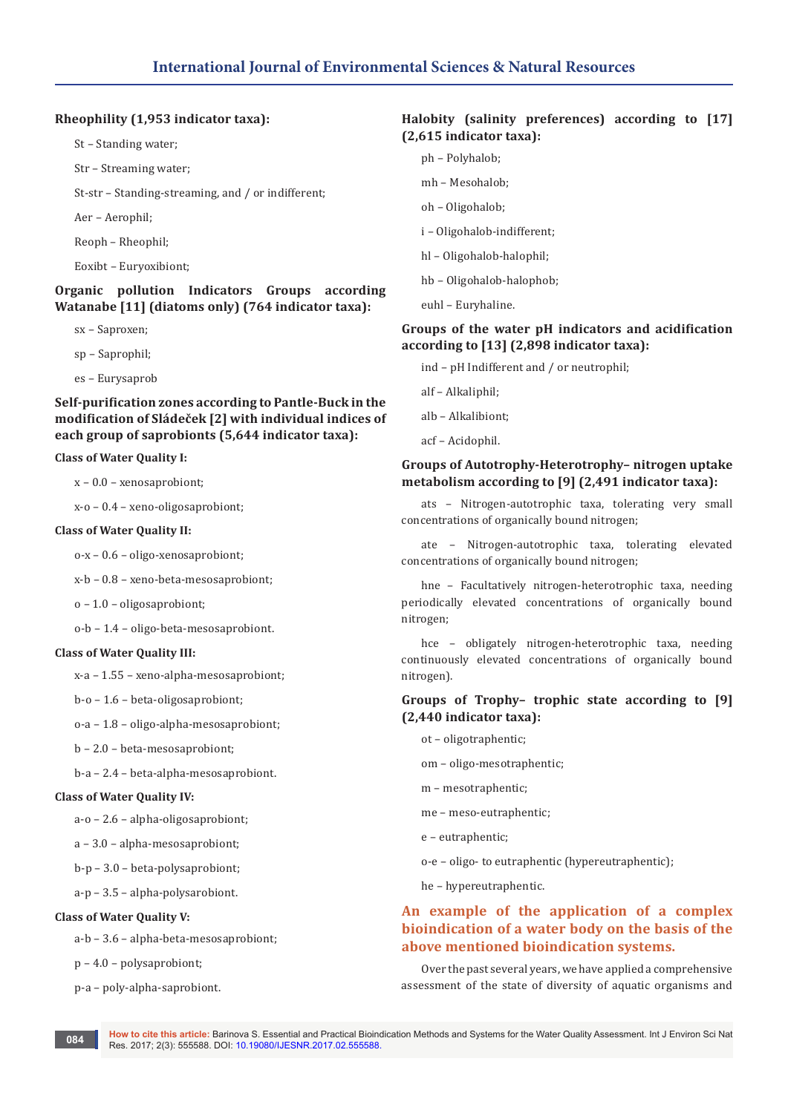## **Rheophility (1,953 indicator taxa):**

St – Standing water;

Str – Streaming water;

St-str – Standing-streaming, and / or indifferent;

Aer – Aerophil;

Reoph – Rheophil;

Eoxibt – Euryoxibiont;

## **Organic pollution Indicators Groups according Watanabe [11] (diatoms only) (764 indicator taxa):**

- sx Saproxen;
- sp Saprophil;
- es Eurysaprob

# **Self-purification zones according to Pantle-Buck in the modification of Sládeček [2] with individual indices of each group of saprobionts (5,644 indicator taxa):**

## **Class of Water Quality I:**

x – 0.0 – xenosaprobiont;

x-o – 0.4 – xeno-oligosaprobiont;

## **Class of Water Quality II:**

o-x – 0.6 – oligo-xenosaprobiont;

x-b – 0.8 – xeno-beta-mesosaprobiont;

o – 1.0 – oligosaprobiont;

o-b – 1.4 – oligo-beta-mesosaprobiont.

## **Class of Water Quality III:**

x-a – 1.55 – xeno-alpha-mesosaprobiont;

- b-o 1.6 beta-oligosaprobiont;
- o-a 1.8 oligo-alpha-mesosaprobiont;
- b 2.0 beta-mesosaprobiont;
- b-a 2.4 beta-alpha-mesosaprobiont.

## **Class of Water Quality IV:**

a-o – 2.6 – alpha-oligosaprobiont;

- a 3.0 alpha-mesosaprobiont;
- b-p 3.0 beta-polysaprobiont;
- a-p 3.5 alpha-polysarobiont.

#### **Class of Water Quality V:**

a-b – 3.6 – alpha-beta-mesosaprobiont;

p – 4.0 – polysaprobiont;

p-a – poly-alpha-saprobiont.

# **Halobity (salinity preferences) according to [17] (2,615 indicator taxa):**

- ph Polyhalob;
- mh Mesohalob;
- oh Oligohalob;
- i Oligohalob-indifferent;
- hl Oligohalob-halophil;
- hb Oligohalob-halophob;
- euhl Euryhaline.

# **Groups of the water pH indicators and acidification according to [13] (2,898 indicator taxa):**

- ind pH Indifferent and / or neutrophil;
- alf Alkaliphil;
- alb Alkalibiont;
- acf Acidophil.

## **Groups of Autotrophy-Heterotrophy– nitrogen uptake metabolism according to [9] (2,491 indicator taxa):**

ats – Nitrogen-autotrophic taxa, tolerating very small concentrations of organically bound nitrogen;

ate – Nitrogen-autotrophic taxa, tolerating elevated concentrations of organically bound nitrogen;

hne – Facultatively nitrogen-heterotrophic taxa, needing periodically elevated concentrations of organically bound nitrogen;

hce – obligately nitrogen-heterotrophic taxa, needing continuously elevated concentrations of organically bound nitrogen).

# **Groups of Trophy– trophic state according to [9] (2,440 indicator taxa):**

- ot oligotraphentic;
- om oligo-mesotraphentic;
- m mesotraphentic;
- me meso-eutraphentic;
- e eutraphentic;
- o-e oligo- to eutraphentic (hypereutraphentic);
- he hypereutraphentic.

# **An example of the application of a complex bioindication of a water body on the basis of the above mentioned bioindication systems.**

Over the past several years, we have applied a comprehensive assessment of the state of diversity of aquatic organisms and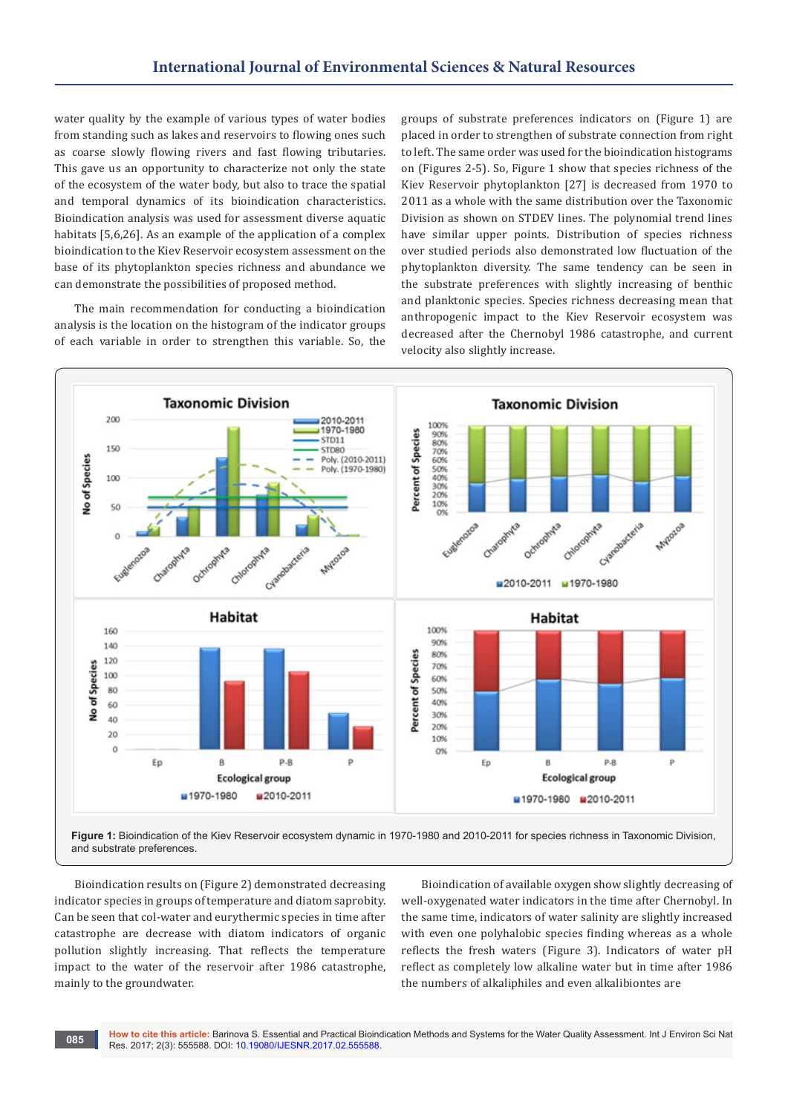water quality by the example of various types of water bodies from standing such as lakes and reservoirs to flowing ones such as coarse slowly flowing rivers and fast flowing tributaries. This gave us an opportunity to characterize not only the state of the ecosystem of the water body, but also to trace the spatial and temporal dynamics of its bioindication characteristics. Bioindication analysis was used for assessment diverse aquatic habitats [5,6,26]. As an example of the application of a complex bioindication to the Kiev Reservoir ecosystem assessment on the base of its phytoplankton species richness and abundance we can demonstrate the possibilities of proposed method.

The main recommendation for conducting a bioindication analysis is the location on the histogram of the indicator groups of each variable in order to strengthen this variable. So, the

groups of substrate preferences indicators on (Figure 1) are placed in order to strengthen of substrate connection from right to left. The same order was used for the bioindication histograms on (Figures 2-5). So, Figure 1 show that species richness of the Kiev Reservoir phytoplankton [27] is decreased from 1970 to 2011 as a whole with the same distribution over the Taxonomic Division as shown on STDEV lines. The polynomial trend lines have similar upper points. Distribution of species richness over studied periods also demonstrated low fluctuation of the phytoplankton diversity. The same tendency can be seen in the substrate preferences with slightly increasing of benthic and planktonic species. Species richness decreasing mean that anthropogenic impact to the Kiev Reservoir ecosystem was decreased after the Chernobyl 1986 catastrophe, and current velocity also slightly increase.



and substrate preferences.

Bioindication results on (Figure 2) demonstrated decreasing indicator species in groups of temperature and diatom saprobity. Can be seen that col-water and eurythermic species in time after catastrophe are decrease with diatom indicators of organic pollution slightly increasing. That reflects the temperature impact to the water of the reservoir after 1986 catastrophe, mainly to the groundwater.

Bioindication of available oxygen show slightly decreasing of well-oxygenated water indicators in the time after Chernobyl. In the same time, indicators of water salinity are slightly increased with even one polyhalobic species finding whereas as a whole reflects the fresh waters (Figure 3). Indicators of water pH reflect as completely low alkaline water but in time after 1986 the numbers of alkaliphiles and even alkalibiontes are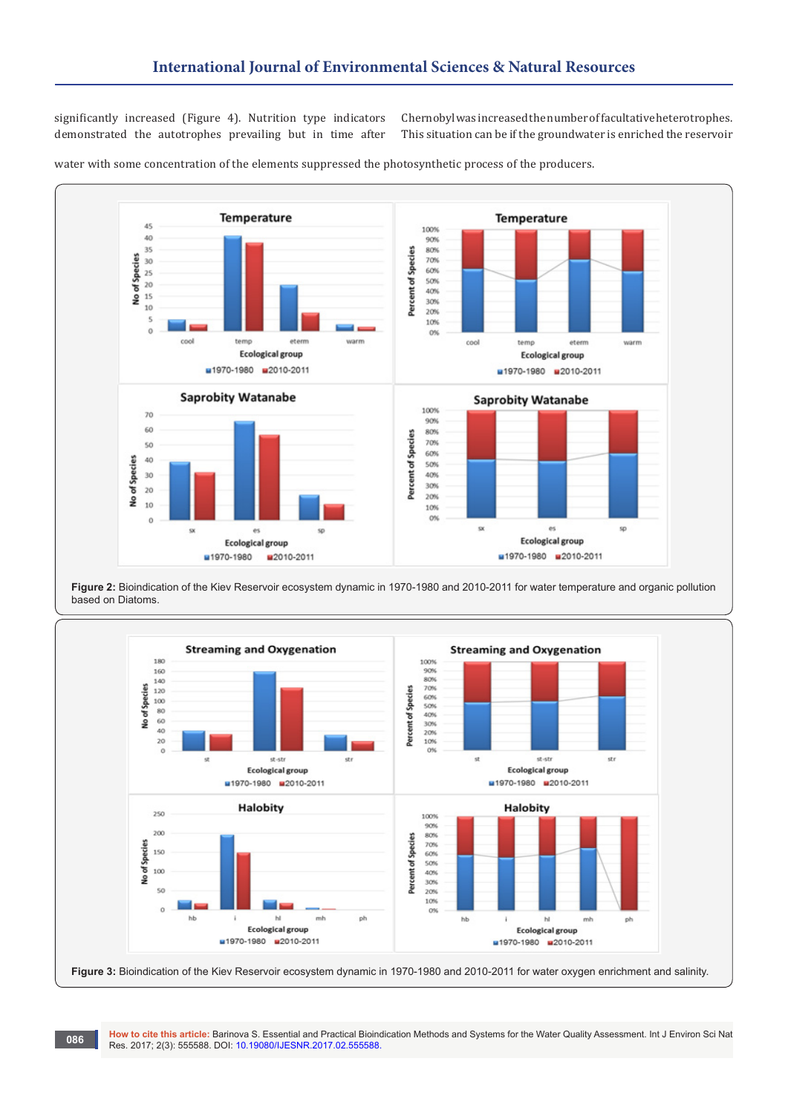significantly increased (Figure 4). Nutrition type indicators demonstrated the autotrophes prevailing but in time after

Chernobyl was increased the number of facultative heterotrophes. This situation can be if the groundwater is enriched the reservoir



water with some concentration of the elements suppressed the photosynthetic process of the producers.

**Figure 2:** Bioindication of the Kiev Reservoir ecosystem dynamic in 1970-1980 and 2010-2011 for water temperature and organic pollution based on Diatoms.



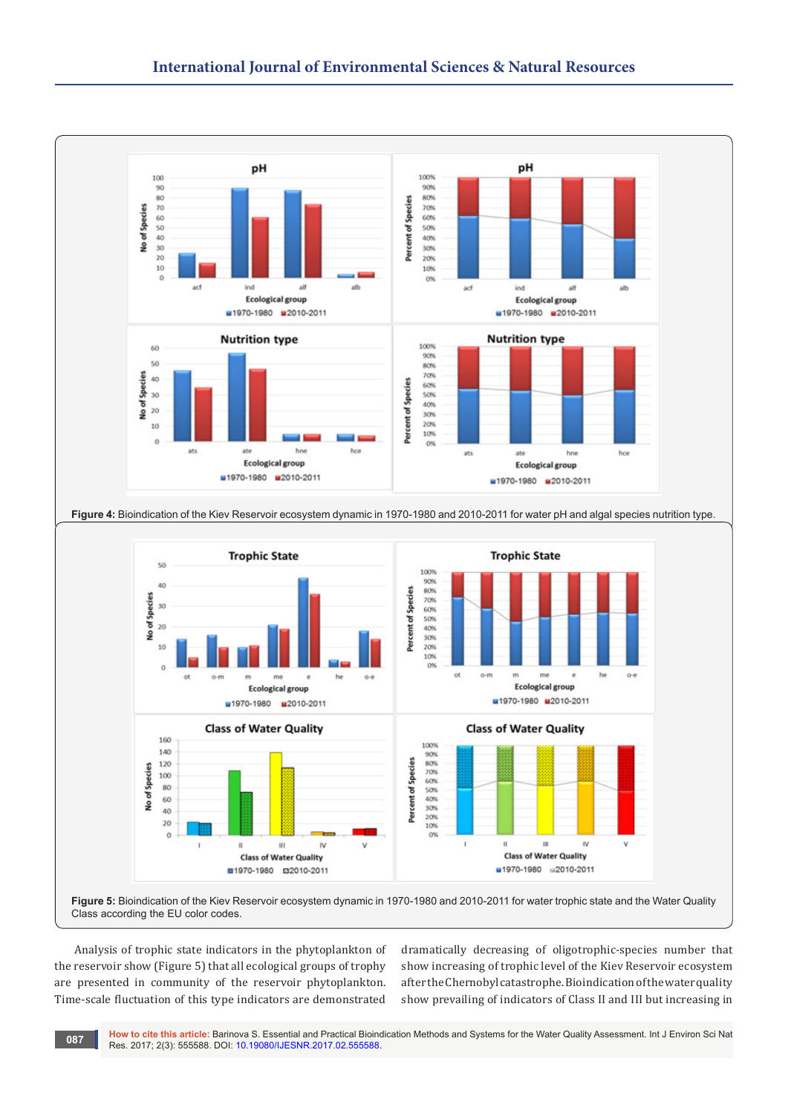

Analysis of trophic state indicators in the phytoplankton of the reservoir show (Figure 5) that all ecological groups of trophy are presented in community of the reservoir phytoplankton. Time-scale fluctuation of this type indicators are demonstrated

dramatically decreasing of oligotrophic-species number that show increasing of trophic level of the Kiev Reservoir ecosystem after the Chernobyl catastrophe. Bioindication of the water quality show prevailing of indicators of Class II and III but increasing in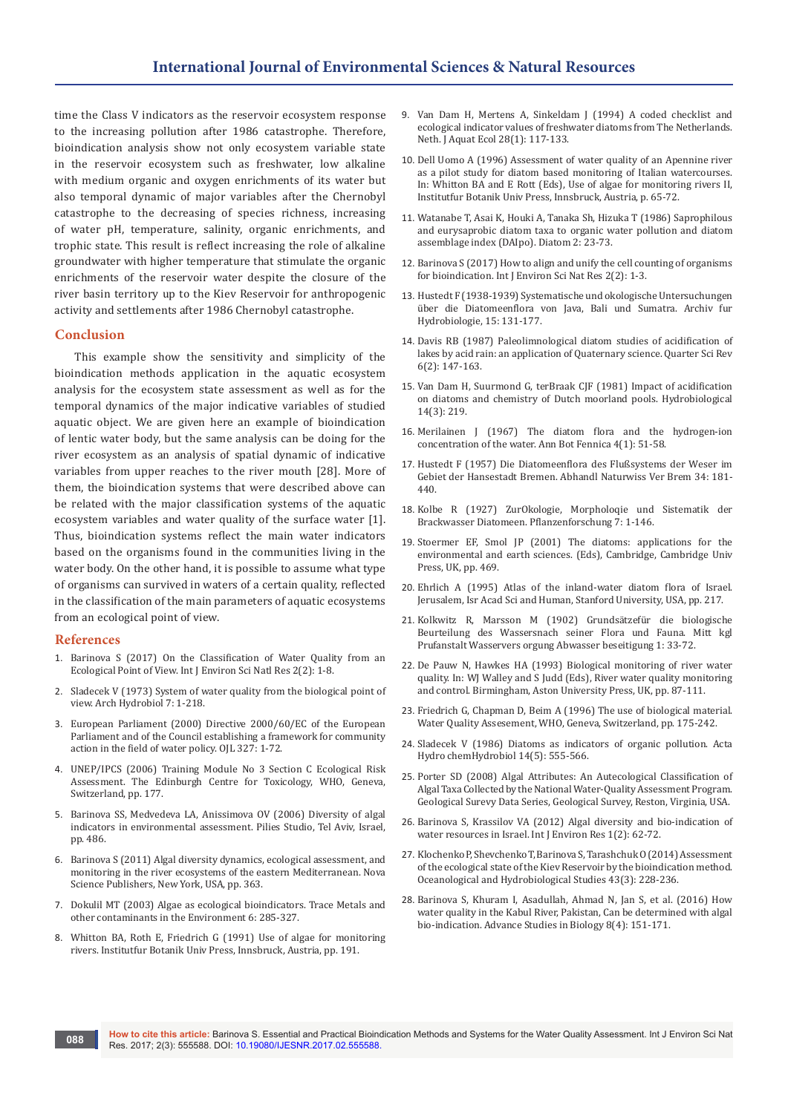time the Class V indicators as the reservoir ecosystem response to the increasing pollution after 1986 catastrophe. Therefore, bioindication analysis show not only ecosystem variable state in the reservoir ecosystem such as freshwater, low alkaline with medium organic and oxygen enrichments of its water but also temporal dynamic of major variables after the Chernobyl catastrophe to the decreasing of species richness, increasing of water pH, temperature, salinity, organic enrichments, and trophic state. This result is reflect increasing the role of alkaline groundwater with higher temperature that stimulate the organic enrichments of the reservoir water despite the closure of the river basin territory up to the Kiev Reservoir for anthropogenic activity and settlements after 1986 Chernobyl catastrophe.

#### **Conclusion**

This example show the sensitivity and simplicity of the bioindication methods application in the aquatic ecosystem analysis for the ecosystem state assessment as well as for the temporal dynamics of the major indicative variables of studied aquatic object. We are given here an example of bioindication of lentic water body, but the same analysis can be doing for the river ecosystem as an analysis of spatial dynamic of indicative variables from upper reaches to the river mouth [28]. More of them, the bioindication systems that were described above can be related with the major classification systems of the aquatic ecosystem variables and water quality of the surface water [1]. Thus, bioindication systems reflect the main water indicators based on the organisms found in the communities living in the water body. On the other hand, it is possible to assume what type of organisms can survived in waters of a certain quality, reflected in the classification of the main parameters of aquatic ecosystems from an ecological point of view.

#### **References**

- 1. Barinova S (2017) On the Clas[sification of Water Quality from an](https://www.juniperpublishers.com/ijesnr/pdf/IJESNR.MS.ID.555581.pdf)  [Ecological Point of View. Int J Environ Sci Natl Res 2\(2\): 1-8.](https://www.juniperpublishers.com/ijesnr/pdf/IJESNR.MS.ID.555581.pdf)
- 2. Sladecek V (1973) [System of water quality from the biological point of](http://agris.fao.org/agris-search/search.do?recordID=EY7503612)  [view. Arch Hydrobiol 7: 1-218.](http://agris.fao.org/agris-search/search.do?recordID=EY7503612)
- 3. [European Parliament \(2000\) Directive 2000/60/EC of the European](https://www.ecolex.org/details/legislation/directive-200060ec-of-the-european-parliament-and-of-the-council-establishing-a-framework-for-community-action-in-the-field-of-water-policy-lex-faoc023005/)  [Parliament and of the Council establishing a framework for community](https://www.ecolex.org/details/legislation/directive-200060ec-of-the-european-parliament-and-of-the-council-establishing-a-framework-for-community-action-in-the-field-of-water-policy-lex-faoc023005/)  [action in the field of water policy. OJL 327: 1-72.](https://www.ecolex.org/details/legislation/directive-200060ec-of-the-european-parliament-and-of-the-council-establishing-a-framework-for-community-action-in-the-field-of-water-policy-lex-faoc023005/)
- 4. [UNEP/IPCS \(2006\) Training Module No 3 Section C Ecological Risk](http://apps.who.int/iris/bitstream/10665/66398/1/WHO_PCS_99.2_eng.pdf)  [Assessment. The Edinburgh Centre for Toxicology, WHO, Geneva,](http://apps.who.int/iris/bitstream/10665/66398/1/WHO_PCS_99.2_eng.pdf)  [Switzerland, pp. 177.](http://apps.who.int/iris/bitstream/10665/66398/1/WHO_PCS_99.2_eng.pdf)
- 5. [Barinova SS, Medvedeva LA, Anissimova OV \(2006\) Diversity of algal](https://www.researchgate.net/publication/265251122_Diversity_of_Algal_Indicators_in_Environmental_Assessment)  [indicators in environmental assessment. Pilies Studio, Tel Aviv, Israel,](https://www.researchgate.net/publication/265251122_Diversity_of_Algal_Indicators_in_Environmental_Assessment)  [pp. 486.](https://www.researchgate.net/publication/265251122_Diversity_of_Algal_Indicators_in_Environmental_Assessment)
- 6. [Barinova S \(2011\) Algal diversity dynamics, ecological assessment, and](https://www.novapublishers.com/catalog/product_info.php?products_id=21265)  [monitoring in the river ecosystems of the eastern Mediterranean. Nova](https://www.novapublishers.com/catalog/product_info.php?products_id=21265)  [Science Publishers, New York, USA, pp. 363.](https://www.novapublishers.com/catalog/product_info.php?products_id=21265)
- 7. [Dokulil MT \(2003\) Algae as ecological bioindicators. Trace Metals and](http://www.sciencedirect.com/science/article/pii/S092752150380139X)  [other contaminants in the Environment 6: 285-327.](http://www.sciencedirect.com/science/article/pii/S092752150380139X)
- 8. Whitton BA, Roth E, Friedrich G (1991) Use of algae for monitoring rivers. Institutfur Botanik Univ Press, Innsbruck, Austria, pp. 191.
- 9. [Van Dam H, Mertens A, Sinkeldam J \(1994\) A coded checklist and](https://link.springer.com/article/10.1007/BF02334251)  [ecological indicator values of freshwater diatoms from The Netherlands.](https://link.springer.com/article/10.1007/BF02334251)  [Neth. J Aquat Ecol 28\(1\): 117-133.](https://link.springer.com/article/10.1007/BF02334251)
- 10. [Dell Uomo A \(1996\) Assessment of water quality of an Apennine river](https://www.tib.eu/en/search/id/BLCP%3ACN034949025/Assessment-of-water-quality-of-an-Apennine-river/)  [as a pilot study for diatom based monitoring of Italian watercourses.](https://www.tib.eu/en/search/id/BLCP%3ACN034949025/Assessment-of-water-quality-of-an-Apennine-river/)  [In: Whitton BA and E Rott \(Eds\), Use of algae for monitoring rivers II,](https://www.tib.eu/en/search/id/BLCP%3ACN034949025/Assessment-of-water-quality-of-an-Apennine-river/)  [Institutfur Botanik Univ Press, Innsbruck, Austria, p. 65-72](https://www.tib.eu/en/search/id/BLCP%3ACN034949025/Assessment-of-water-quality-of-an-Apennine-river/).
- 11. [Watanabe T, Asai K, Houki A, Tanaka Sh, Hizuka T \(1986\) Saprophilous](https://www.jstage.jst.go.jp/article/diatom1985/2/0/2_23/_article)  [and eurysaprobic diatom taxa to organic water pollution and diatom](https://www.jstage.jst.go.jp/article/diatom1985/2/0/2_23/_article)  [assemblage index \(DAIpo\). Diatom 2: 23-73.](https://www.jstage.jst.go.jp/article/diatom1985/2/0/2_23/_article)
- 12. [Barinova S \(2017\) How to align and unify the cell counting of organisms](https://www.juniperpublishers.com/ijesnr/pdf/IJESNR.MS.ID.555585.pdf)  [for bioindication. Int J Environ Sci Nat Res 2\(2\): 1-3.](https://www.juniperpublishers.com/ijesnr/pdf/IJESNR.MS.ID.555585.pdf)
- 13. Hustedt F (1938-1939) Systematische und okologische Untersuchungen über die Diatomeenflora von Java, Bali und Sumatra. Archiv fur Hydrobiologie, 15: 131-177.
- 14. [Davis RB \(1987\) Paleolimnological diatom studies of acidification of](http://www.sciencedirect.com/science/article/pii/027737918790031X)  [lakes by acid rain: an application of Quaternary science. Quarter Sci Rev](http://www.sciencedirect.com/science/article/pii/027737918790031X)  [6\(2\): 147-163.](http://www.sciencedirect.com/science/article/pii/027737918790031X)
- 15. [Van Dam H, Suurmond G, terBraak CJF \(1981\) Impact of acidification](https://link.springer.com/article/10.1007/BF02260125)  [on diatoms and chemistry of Dutch moorland pools. Hydrobiological](https://link.springer.com/article/10.1007/BF02260125)  [14\(3\): 219.](https://link.springer.com/article/10.1007/BF02260125)
- 16. Merilainen J (1967) The diatom flora and the hydrogen-ion concentration of the water. Ann Bot Fennica 4(1): 51-58.
- 17. Hustedt F (1957) Die Diatomeenflora des Flußsystems der Weser im Gebiet der Hansestadt Bremen. Abhandl Naturwiss Ver Brem 34: 181- 440.
- 18. Kolbe R (1927) ZurOkologie, Morpholoqie und Sistematik der Brackwasser Diatomeen. Pflanzenforschung 7: 1-146.
- 19. [Stoermer EF, Smol JP \(2001\) The diatoms: applications for the](http://onlinelibrary.wiley.com/doi/10.1002/jqs.632/abstract)  [environmental and earth sciences. \(Eds\), Cambridge, Cambridge Univ](http://onlinelibrary.wiley.com/doi/10.1002/jqs.632/abstract)  [Press, UK, pp. 469.](http://onlinelibrary.wiley.com/doi/10.1002/jqs.632/abstract)
- 20. [Ehrlich A \(1995\) Atlas of the inland-water diatom flora of Israel.](https://searchworks.stanford.edu/view/3127817)  [Jerusalem, Isr Acad Sci and Human, Stanford University, USA, pp. 217.](https://searchworks.stanford.edu/view/3127817)
- 21. Kolkwitz R, Marsson M (1902) Grundsätzefür die biologische Beurteilung des Wassersnach seiner Flora und Fauna. Mitt kgl Prufanstalt Wasservers orgung Abwasser beseitigung 1: 33-72.
- 22. De Pauw N, Hawkes HA (1993) Biological monitoring of river water quality. In: WJ Walley and S Judd (Eds), River water quality monitoring and control. Birmingham, Aston University Press, UK, pp. 87-111.
- 23. [Friedrich G, Chapman D, Beim A \(1996\) The use of biological material.](http://www.who.int/water_sanitation_health/resourcesquality/wqachapter5.pdf?ua=1)  [Water Quality Assesement, WHO, Geneva, Switzerland, pp. 175-242.](http://www.who.int/water_sanitation_health/resourcesquality/wqachapter5.pdf?ua=1)
- 24. [Sladecek V \(1986\) Diatoms as indicators of organic pollution. Acta](http://onlinelibrary.wiley.com/doi/10.1002/aheh.19860140519/abstract)  [Hydro chemHydrobiol 14\(5\): 555-566.](http://onlinelibrary.wiley.com/doi/10.1002/aheh.19860140519/abstract)
- 25. [Porter SD \(2008\) Algal Attributes: An Autecological Classification of](https://pubs.er.usgs.gov/publication/ds329)  [Algal Taxa Collected by the National Water-Quality Assessment Program.](https://pubs.er.usgs.gov/publication/ds329)  [Geological Surevy Data Series, Geological Survey, Reston, Virginia, USA.](https://pubs.er.usgs.gov/publication/ds329)
- 26. Barinova S, Krassilov VA (2012) Algal diversity and bio-indication of water resources in Israel. Int J Environ Res 1(2): 62-72.
- 27. [Klochenko P, Shevchenko T, Barinova S, Tarashchuk O \(2014\) Assessment](https://link.springer.com/article/10.2478/s13545-014-0137-8)  [of the ecological state of the Kiev Reservoir by the bioindication method.](https://link.springer.com/article/10.2478/s13545-014-0137-8)  [Oceanological and Hydrobiological Studies 43\(3\): 228-236.](https://link.springer.com/article/10.2478/s13545-014-0137-8)
- 28. [Barinova S, Khuram I, Asadullah, Ahmad N, Jan S, et al. \(2016\) How](https://www.researchgate.net/publication/309114510_How_water_quality_in_the_Kabul_River_Pakistan_can_be_determined_with_algal_bio-indication)  [water quality in the Kabul River, Pakistan, Can be determined with algal](https://www.researchgate.net/publication/309114510_How_water_quality_in_the_Kabul_River_Pakistan_can_be_determined_with_algal_bio-indication)  [bio-indication. Advance Studies in Biology 8\(4\): 151-171.](https://www.researchgate.net/publication/309114510_How_water_quality_in_the_Kabul_River_Pakistan_can_be_determined_with_algal_bio-indication)